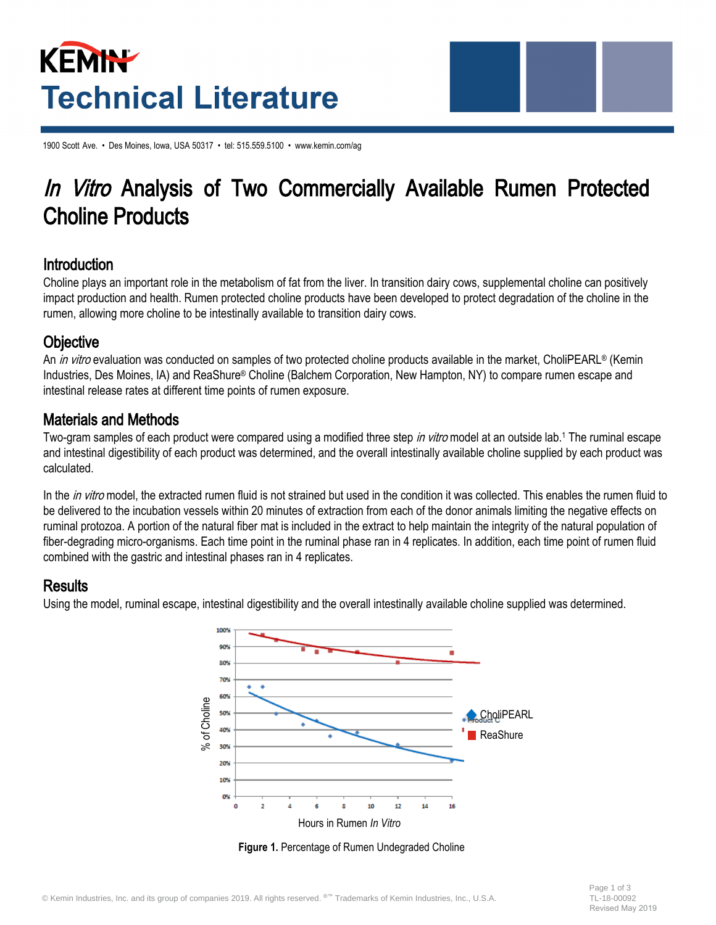# KEMIN **Technical Literature**

1900 Scott Ave. • Des Moines, Iowa, USA 50317 • tel: 515.559.5100 • www.kemin.com/ag

## In Vitro Analysis of Two Commercially Available Rumen Protected Choline Products

#### **Introduction**

Choline plays an important role in the metabolism of fat from the liver. In transition dairy cows, supplemental choline can positively impact production and health. Rumen protected choline products have been developed to protect degradation of the choline in the rumen, allowing more choline to be intestinally available to transition dairy cows.

#### **Objective**

An in vitro evaluation was conducted on samples of two protected choline products available in the market, CholiPEARL® (Kemin Industries, Des Moines, IA) and ReaShure® Choline (Balchem Corporation, New Hampton, NY) to compare rumen escape and intestinal release rates at different time points of rumen exposure.

#### Materials and Methods

Two-gram samples of each product were compared using a modified three step in vitro model at an outside lab.<sup>1</sup> The ruminal escape and intestinal digestibility of each product was determined, and the overall intestinally available choline supplied by each product was calculated.

In the *in vitro* model, the extracted rumen fluid is not strained but used in the condition it was collected. This enables the rumen fluid to be delivered to the incubation vessels within 20 minutes of extraction from each of the donor animals limiting the negative effects on ruminal protozoa. A portion of the natural fiber mat is included in the extract to help maintain the integrity of the natural population of fiber-degrading micro-organisms. Each time point in the ruminal phase ran in 4 replicates. In addition, each time point of rumen fluid combined with the gastric and intestinal phases ran in 4 replicates.

#### **Results**

Using the model, ruminal escape, intestinal digestibility and the overall intestinally available choline supplied was determined.



**Figure 1.** Percentage of Rumen Undegraded Choline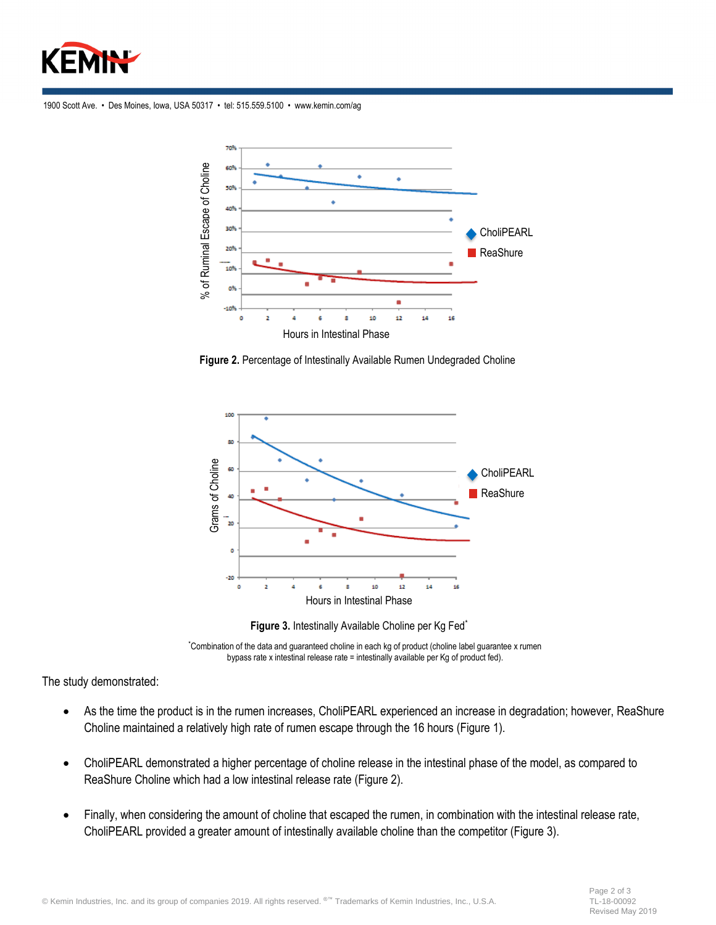

1900 Scott Ave. • Des Moines, Iowa, USA 50317 • tel: 515.559.5100 • www.kemin.com/ag



**Figure 2.** Percentage of Intestinally Available Rumen Undegraded Choline



**Figure 3.** Intestinally Available Choline per Kg Fed\*

\*Combination of the data and guaranteed choline in each kg of product (choline label guarantee x rumen bypass rate x intestinal release rate = intestinally available per Kg of product fed).

The study demonstrated:

- As the time the product is in the rumen increases, CholiPEARL experienced an increase in degradation; however, ReaShure Choline maintained a relatively high rate of rumen escape through the 16 hours (Figure 1).
- CholiPEARL demonstrated a higher percentage of choline release in the intestinal phase of the model, as compared to ReaShure Choline which had a low intestinal release rate (Figure 2).
- Finally, when considering the amount of choline that escaped the rumen, in combination with the intestinal release rate, CholiPEARL provided a greater amount of intestinally available choline than the competitor (Figure 3).